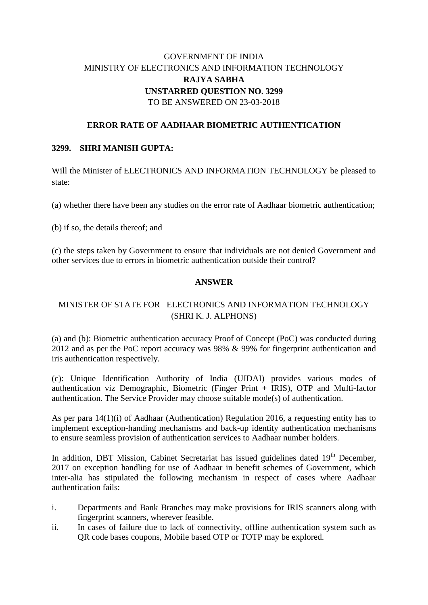# GOVERNMENT OF INDIA MINISTRY OF ELECTRONICS AND INFORMATION TECHNOLOGY **RAJYA SABHA UNSTARRED QUESTION NO. 3299** TO BE ANSWERED ON 23-03-2018

## **ERROR RATE OF AADHAAR BIOMETRIC AUTHENTICATION**

#### **3299. SHRI MANISH GUPTA:**

Will the Minister of ELECTRONICS AND INFORMATION TECHNOLOGY be pleased to state:

(a) whether there have been any studies on the error rate of Aadhaar biometric authentication;

(b) if so, the details thereof; and

(c) the steps taken by Government to ensure that individuals are not denied Government and other services due to errors in biometric authentication outside their control?

## **ANSWER**

# MINISTER OF STATE FOR ELECTRONICS AND INFORMATION TECHNOLOGY (SHRI K. J. ALPHONS)

(a) and (b): Biometric authentication accuracy Proof of Concept (PoC) was conducted during 2012 and as per the PoC report accuracy was 98% & 99% for fingerprint authentication and iris authentication respectively.

(c): Unique Identification Authority of India (UIDAI) provides various modes of authentication viz Demographic, Biometric (Finger Print + IRIS), OTP and Multi-factor authentication. The Service Provider may choose suitable mode(s) of authentication.

As per para 14(1)(i) of Aadhaar (Authentication) Regulation 2016, a requesting entity has to implement exception-handing mechanisms and back-up identity authentication mechanisms to ensure seamless provision of authentication services to Aadhaar number holders.

In addition, DBT Mission, Cabinet Secretariat has issued guidelines dated  $19<sup>th</sup>$  December, 2017 on exception handling for use of Aadhaar in benefit schemes of Government, which inter-alia has stipulated the following mechanism in respect of cases where Aadhaar authentication fails:

- i. Departments and Bank Branches may make provisions for IRIS scanners along with fingerprint scanners, wherever feasible.
- ii. In cases of failure due to lack of connectivity, offline authentication system such as QR code bases coupons, Mobile based OTP or TOTP may be explored.